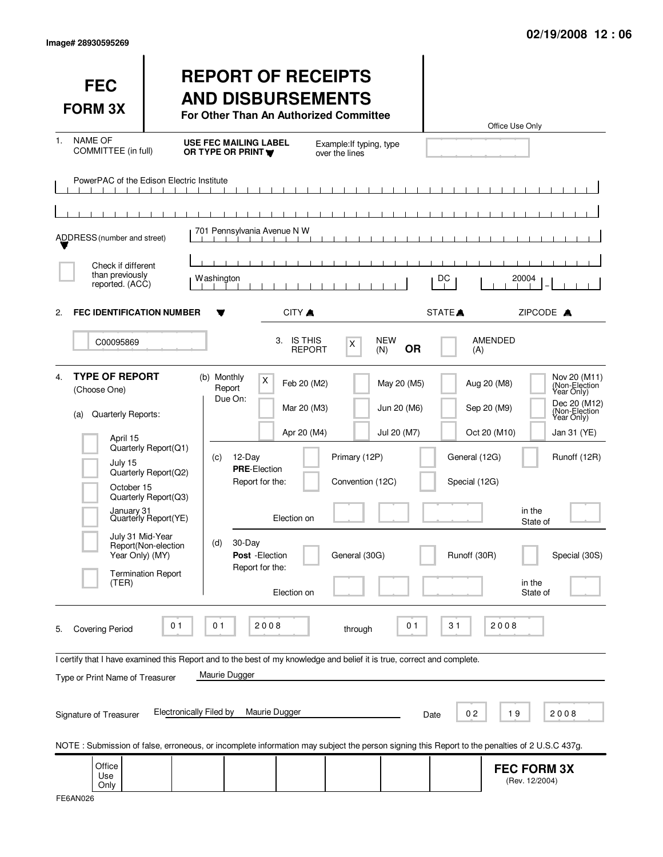| <b>FEC</b><br><b>FORM 3X</b>                                                                                                                                                                                                                                                                                                                                                                                                                                                                                                        |                                                                                                                                                  | <b>REPORT OF RECEIPTS</b><br><b>AND DISBURSEMENTS</b><br>For Other Than An Authorized Committee                                                                                                                                    |                                                                                                 | Office Use Only                                                                                                                                                                                                                                                                        |  |
|-------------------------------------------------------------------------------------------------------------------------------------------------------------------------------------------------------------------------------------------------------------------------------------------------------------------------------------------------------------------------------------------------------------------------------------------------------------------------------------------------------------------------------------|--------------------------------------------------------------------------------------------------------------------------------------------------|------------------------------------------------------------------------------------------------------------------------------------------------------------------------------------------------------------------------------------|-------------------------------------------------------------------------------------------------|----------------------------------------------------------------------------------------------------------------------------------------------------------------------------------------------------------------------------------------------------------------------------------------|--|
| <b>NAME OF</b><br>1.<br>COMMITTEE (in full)                                                                                                                                                                                                                                                                                                                                                                                                                                                                                         |                                                                                                                                                  | <b>USE FEC MAILING LABEL</b><br>OR TYPE OR PRINT<br>over the lines                                                                                                                                                                 | Example: If typing, type                                                                        |                                                                                                                                                                                                                                                                                        |  |
| PowerPAC of the Edison Electric Institute                                                                                                                                                                                                                                                                                                                                                                                                                                                                                           |                                                                                                                                                  |                                                                                                                                                                                                                                    |                                                                                                 |                                                                                                                                                                                                                                                                                        |  |
| ADDRESS (number and street)                                                                                                                                                                                                                                                                                                                                                                                                                                                                                                         |                                                                                                                                                  | 701 Pennsylvania Avenue N W                                                                                                                                                                                                        |                                                                                                 |                                                                                                                                                                                                                                                                                        |  |
| Check if different<br>than previously<br>reported. (ACC)                                                                                                                                                                                                                                                                                                                                                                                                                                                                            |                                                                                                                                                  | Washington                                                                                                                                                                                                                         | DC                                                                                              | 20004                                                                                                                                                                                                                                                                                  |  |
| <b>FEC IDENTIFICATION NUMBER</b><br>2.                                                                                                                                                                                                                                                                                                                                                                                                                                                                                              |                                                                                                                                                  | CITY A                                                                                                                                                                                                                             | STATE <sup>A</sup>                                                                              | ZIPCODE A                                                                                                                                                                                                                                                                              |  |
| C00095869                                                                                                                                                                                                                                                                                                                                                                                                                                                                                                                           |                                                                                                                                                  | 3. IS THIS<br><b>REPORT</b>                                                                                                                                                                                                        | <b>NEW</b><br>X<br><b>OR</b><br>(N)                                                             | <b>AMENDED</b><br>(A)                                                                                                                                                                                                                                                                  |  |
| <b>TYPE OF REPORT</b><br>4.<br>(Choose One)<br>Quarterly Reports:<br>(a)<br>April 15<br>July 15<br>October 15<br>January 31<br>July 31 Mid-Year<br>Year Only) (MY)<br>(TER)                                                                                                                                                                                                                                                                                                                                                         | Quarterly Report(Q1)<br>Quarterly Report(Q2)<br>Quarterly Report(Q3)<br>Quarterly Report(YE)<br>Report(Non-election<br><b>Termination Report</b> | (b) Monthly<br>X<br>Feb 20 (M2)<br>Report<br>Due On:<br>Mar 20 (M3)<br>Apr 20 (M4)<br>(c)<br>12-Day<br><b>PRE-Election</b><br>Report for the:<br>Election on<br>30-Day<br>(d)<br>Post - Election<br>Report for the:<br>Election on | May 20 (M5)<br>Jun 20 (M6)<br>Jul 20 (M7)<br>Primary (12P)<br>Convention (12C)<br>General (30G) | Nov 20 (M11)<br>(Non-Election<br>Aug 20 (M8)<br>Year Only)<br>Dec 20 (M12)<br>Sep 20 (M9)<br>(Non-Election<br>Year Only)<br>Oct 20 (M10)<br>Jan 31 (YE)<br>General (12G)<br>Runoff (12R)<br>Special (12G)<br>in the<br>State of<br>Runoff (30R)<br>Special (30S)<br>in the<br>State of |  |
| 2008<br>2008<br>01<br>01<br>0 <sub>1</sub><br>31<br><b>Covering Period</b><br>through<br>5.<br>I certify that I have examined this Report and to the best of my knowledge and belief it is true, correct and complete.<br>Maurie Dugger<br>Type or Print Name of Treasurer<br><b>Electronically Filed by</b><br>Maurie Dugger<br>19<br>02<br>2008<br>Signature of Treasurer<br>Date<br>NOTE: Submission of false, erroneous, or incomplete information may subject the person signing this Report to the penalties of 2 U.S.C 437g. |                                                                                                                                                  |                                                                                                                                                                                                                                    |                                                                                                 |                                                                                                                                                                                                                                                                                        |  |
| Office<br>Use<br>Only                                                                                                                                                                                                                                                                                                                                                                                                                                                                                                               |                                                                                                                                                  |                                                                                                                                                                                                                                    |                                                                                                 | <b>FEC FORM 3X</b><br>(Rev. 12/2004)                                                                                                                                                                                                                                                   |  |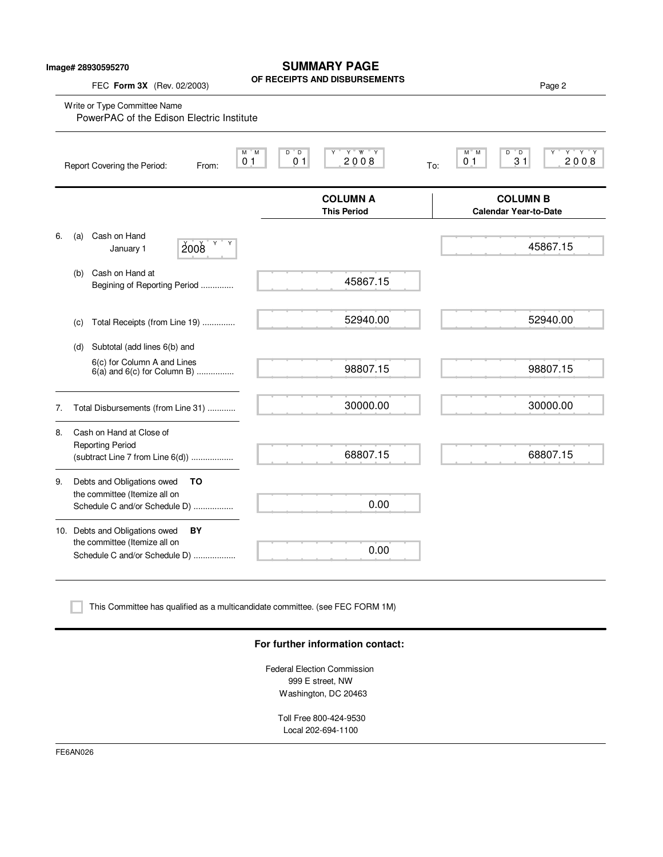## **SUMMARY PAGE**

**OF RECEIPTS AND DISBURSEMENTS** FEC **Form 3X** (Rev. 02/2003) Page 2 Write or Type Committee Name M M D D Y Y YY Y M M D D Y Y Y Y Report Covering the Period: From: 01 01 2008 To: **COLUMN A COLUMN B This Period Calendar Year-to-Date** 6. (a) Cash on Hand January 1  $\vert$  2008 (b) Cash on Hand at Begining of Reporting Period .............. (c) Total Receipts (from Line 19) .............. (d) Subtotal (add lines 6(b) and 6(c) for Column A and Lines  $6(a)$  and  $6(c)$  for Column B) ................. 7. Total Disbursements (from Line 31) ............ 8. Cash on Hand at Close of Reporting Period (subtract Line 7 from Line 6(d)) .................. 9. Debts and Obligations owed **TO** the committee (Itemize all on Schedule C and/or Schedule D) ................. 10. Debts and Obligations owed **BY** the committee (Itemize all on Schedule C and/or Schedule D) .................. 0 1 0 1 2 0 0 8 0 1 3 1 2 0 0 8 PowerPAC of the Edison Electric Institute 45867.15 52940.00 98807.15 30000.00 68807.15 0.00 0.00  $2008$   $10^{10}$ 52940.00 98807.15 30000.00 68807.15

This Committee has qualified as a multicandidate committee. (see FEC FORM 1M)

### **For further information contact:**

Federal Election Commission 999 E street, NW Washington, DC 20463

> Toll Free 800-424-9530 Local 202-694-1100

FE6AN026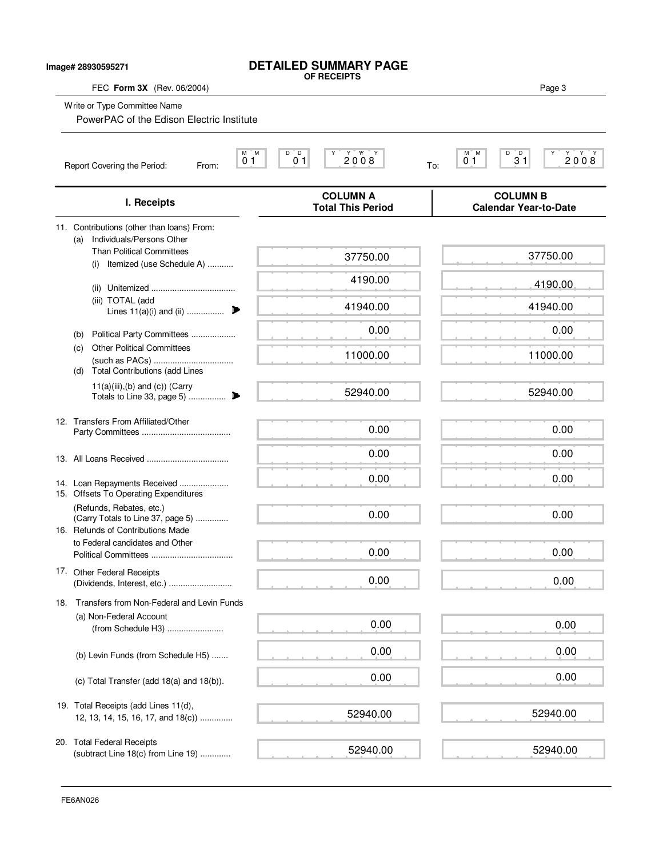| Image# 28930595271         |                                                                                          | <b>DETAILED SUMMARY PAGE</b><br>OF RECEIPTS                                  |                                                           |
|----------------------------|------------------------------------------------------------------------------------------|------------------------------------------------------------------------------|-----------------------------------------------------------|
| FEC Form 3X (Rev. 06/2004) |                                                                                          |                                                                              | Page 3                                                    |
|                            | Write or Type Committee Name<br>PowerPAC of the Edison Electric Institute                |                                                                              |                                                           |
|                            | Report Covering the Period:<br>From:                                                     | D<br>2008<br>М<br>M<br>$\overline{D}$<br>Y<br>$0-1$<br>0 <sub>1</sub><br>To: | D<br>M M<br>$3^{\circ}1$<br>Y<br>2008<br>$\overline{0}$ 1 |
|                            | I. Receipts                                                                              | <b>COLUMN A</b><br><b>Total This Period</b>                                  | <b>COLUMN B</b><br><b>Calendar Year-to-Date</b>           |
|                            | 11. Contributions (other than loans) From:<br>Individuals/Persons Other<br>(a)           |                                                                              |                                                           |
|                            | <b>Than Political Committees</b><br>(i) Itemized (use Schedule A)                        | 37750.00                                                                     | 37750.00                                                  |
|                            |                                                                                          | 4190.00                                                                      | 4190.00                                                   |
|                            | (iii) TOTAL (add<br>Lines $11(a)(i)$ and (ii)                                            | 41940.00                                                                     | 41940.00                                                  |
|                            | Political Party Committees<br>(b)                                                        | 0.00                                                                         | 0.00                                                      |
|                            | <b>Other Political Committees</b><br>(c)<br><b>Total Contributions (add Lines</b><br>(d) | 11000.00                                                                     | 11000.00                                                  |
|                            | $11(a)(iii),(b)$ and $(c)$ ) (Carry                                                      | 52940.00                                                                     | 52940.00                                                  |
|                            | 12. Transfers From Affiliated/Other                                                      | 0.00                                                                         | 0.00                                                      |
|                            |                                                                                          | 0.00                                                                         | 0.00                                                      |
|                            | 14. Loan Repayments Received<br>15. Offsets To Operating Expenditures                    | 0.00                                                                         | 0.00                                                      |
|                            | (Refunds, Rebates, etc.)<br>(Carry Totals to Line 37, page 5)                            | 0.00                                                                         | 0.00                                                      |
|                            | 16. Refunds of Contributions Made<br>to Federal candidates and Other                     | 0.00                                                                         | 0.00                                                      |
|                            | 17. Other Federal Receipts                                                               | 0.00                                                                         | 0.00                                                      |
|                            | 18. Transfers from Non-Federal and Levin Funds                                           |                                                                              |                                                           |
|                            | (a) Non-Federal Account<br>(from Schedule H3)                                            | 0.00                                                                         | 0.00                                                      |
|                            | (b) Levin Funds (from Schedule H5)                                                       | 0.00                                                                         | 0.00                                                      |
|                            | (c) Total Transfer (add 18(a) and 18(b)).                                                | 0.00                                                                         | 0.00                                                      |
|                            | 19. Total Receipts (add Lines 11(d),<br>12, 13, 14, 15, 16, 17, and 18(c))               | 52940.00                                                                     | 52940.00                                                  |
|                            | 20. Total Federal Receipts<br>(subtract Line 18(c) from Line 19)                         | 52940.00                                                                     | 52940.00                                                  |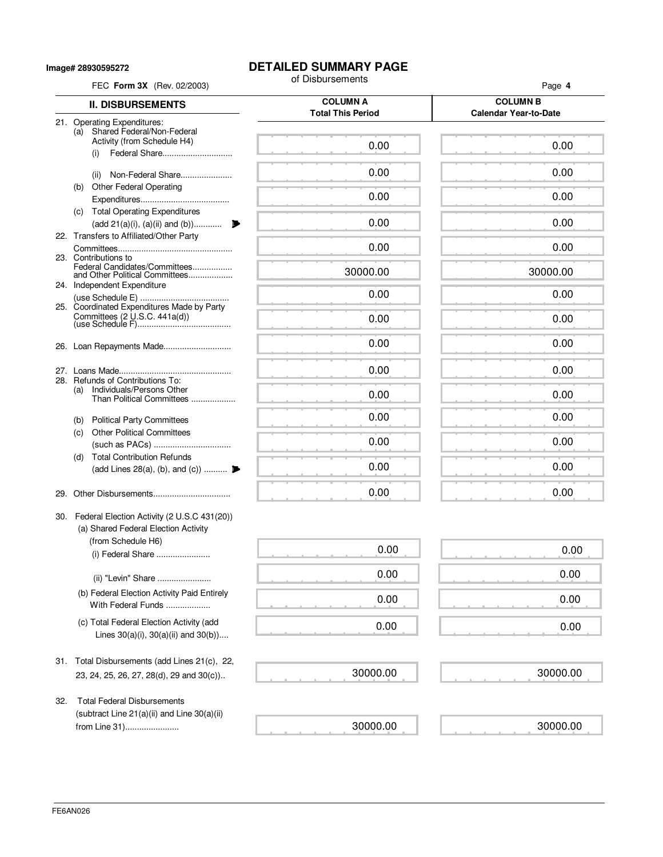**Image# 28930595272**

# **DETAILED SUMMARY PAGE**<br>of Disbursements

| FEC Form 3X (Rev. 02/2003)                                                               | of Disbursements                            | Page 4                                          |
|------------------------------------------------------------------------------------------|---------------------------------------------|-------------------------------------------------|
| <b>II. DISBURSEMENTS</b>                                                                 | <b>COLUMN A</b><br><b>Total This Period</b> | <b>COLUMN B</b><br><b>Calendar Year-to-Date</b> |
| 21. Operating Expenditures:<br>Shared Federal/Non-Federal<br>(a)                         |                                             |                                                 |
| Activity (from Schedule H4)<br>Federal Share<br>(i)                                      | 0.00                                        | 0.00                                            |
| Non-Federal Share<br>(ii)                                                                | 0.00                                        | 0.00                                            |
| <b>Other Federal Operating</b><br>(b)                                                    | 0.00                                        | 0.00                                            |
| (c) Total Operating Expenditures<br>(add 21(a)(i), (a)(ii) and (b))                      | 0.00                                        | 0.00                                            |
| 22. Transfers to Affiliated/Other Party                                                  | 0.00                                        | 0.00                                            |
| 23. Contributions to<br>Federal Candidates/Committees<br>and Other Political Committees  | 30000.00                                    | 30000.00                                        |
| 24. Independent Expenditure                                                              | 0.00                                        | 0.00                                            |
| 25. Coordinated Expenditures Made by Party<br>Committees (2 U.S.C. 441a(d))              | 0.00                                        | 0.00                                            |
|                                                                                          | 0.00                                        | 0.00                                            |
|                                                                                          |                                             |                                                 |
| 28. Refunds of Contributions To:<br>Individuals/Persons Other<br>(a)                     | 0.00                                        | 0.00                                            |
| Than Political Committees                                                                | 0.00                                        | 0.00                                            |
| (b) Political Party Committees<br><b>Other Political Committees</b><br>(c)               | 0.00                                        | 0.00                                            |
| <b>Total Contribution Refunds</b><br>(d)                                                 | 0.00                                        | 0.00                                            |
| (add Lines 28(a), (b), and (c))                                                          | 0.00                                        | 0.00                                            |
| 29.                                                                                      | 0.00                                        | 0.00                                            |
| 30. Federal Election Activity (2 U.S.C 431(20))<br>(a) Shared Federal Election Activity  |                                             |                                                 |
| (from Schedule H6)<br>(i) Federal Share                                                  | 0.00                                        | 0.00                                            |
| (ii) "Levin" Share                                                                       | 0.00                                        | 0.00                                            |
| (b) Federal Election Activity Paid Entirely<br>With Federal Funds                        | 0.00                                        | 0.00                                            |
| (c) Total Federal Election Activity (add<br>Lines $30(a)(i)$ , $30(a)(ii)$ and $30(b)$ ) | 0.00                                        | 0.00                                            |
| 31. Total Disbursements (add Lines 21(c), 22,                                            |                                             |                                                 |
| 23, 24, 25, 26, 27, 28(d), 29 and 30(c))                                                 | 30000.00                                    | 30000.00                                        |
| <b>Total Federal Disbursements</b><br>32.<br>(subtract Line 21(a)(ii) and Line 30(a)(ii) |                                             |                                                 |

30000.00

 $\mathcal{L}(\mathcal{L})$  . The set of  $\mathcal{L}(\mathcal{L})$ 

30000.00

from Line 31).......................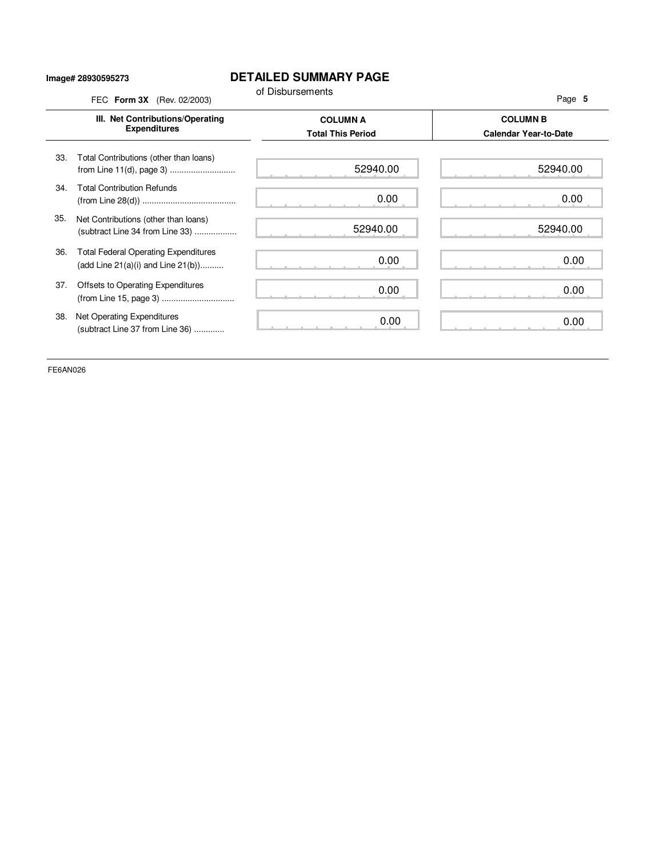#### **Image# 28930595273**

### **DETAILED SUMMARY PAGE**

|     | FEC Form 3X (Rev. 02/2003)                                                             | of Disbursements                            | Page 5                                          |
|-----|----------------------------------------------------------------------------------------|---------------------------------------------|-------------------------------------------------|
|     | III. Net Contributions/Operating<br><b>Expenditures</b>                                | <b>COLUMN A</b><br><b>Total This Period</b> | <b>COLUMN B</b><br><b>Calendar Year-to-Date</b> |
| 33. | Total Contributions (other than loans)<br>from Line 11(d), page 3)                     | 52940.00                                    | 52940.00                                        |
| 34. | <b>Total Contribution Refunds</b>                                                      | 0.00                                        | 0.00                                            |
| 35. | Net Contributions (other than loans)<br>(subtract Line 34 from Line 33)                | 52940.00                                    | 52940.00                                        |
| 36. | <b>Total Federal Operating Expenditures</b><br>(add Line $21(a)(i)$ and Line $21(b)$ ) | 0.00                                        | 0.00                                            |
| 37. | Offsets to Operating Expenditures<br>(from Line 15, page 3)                            | 0.00                                        | 0.00                                            |
| 38. | Net Operating Expenditures<br>(subtract Line 37 from Line 36)                          | 0.00                                        | 0.00                                            |

FE6AN026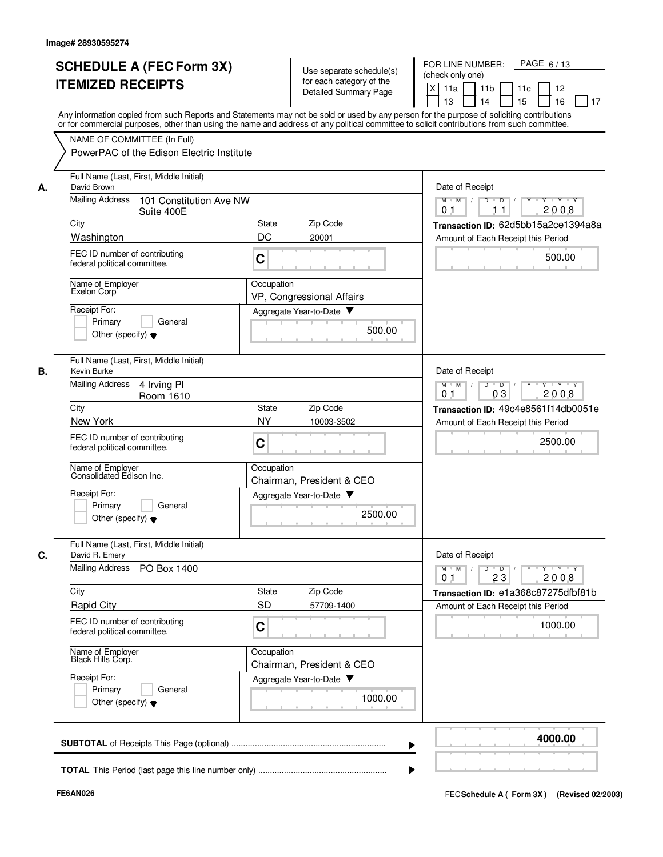|    | <b>SCHEDULE A (FEC Form 3X)</b><br><b>ITEMIZED RECEIPTS</b>                                                                                                                                                                                                                                                            | Use separate schedule(s)<br>for each category of the<br><b>Detailed Summary Page</b>              | PAGE 6/13<br>FOR LINE NUMBER:<br>(check only one)<br>X<br>11a<br>11 <sub>b</sub><br>11c<br>12<br>15<br>16<br>13<br>14<br>17 |  |  |
|----|------------------------------------------------------------------------------------------------------------------------------------------------------------------------------------------------------------------------------------------------------------------------------------------------------------------------|---------------------------------------------------------------------------------------------------|-----------------------------------------------------------------------------------------------------------------------------|--|--|
|    | Any information copied from such Reports and Statements may not be sold or used by any person for the purpose of soliciting contributions<br>or for commercial purposes, other than using the name and address of any political committee to solicit contributions from such committee.<br>NAME OF COMMITTEE (In Full) |                                                                                                   |                                                                                                                             |  |  |
|    | PowerPAC of the Edison Electric Institute                                                                                                                                                                                                                                                                              |                                                                                                   |                                                                                                                             |  |  |
| А. | Full Name (Last, First, Middle Initial)<br>David Brown                                                                                                                                                                                                                                                                 | Date of Receipt                                                                                   |                                                                                                                             |  |  |
|    | <b>Mailing Address</b><br>101 Constitution Ave NW<br>Suite 400E                                                                                                                                                                                                                                                        | $\overline{Y}$ $\overline{Y}$<br>$M$ $M$ /<br>D<br>$\overline{D}$<br>2008<br>11<br>0 <sub>1</sub> |                                                                                                                             |  |  |
|    | City                                                                                                                                                                                                                                                                                                                   | Zip Code<br>State                                                                                 | Transaction ID: 62d5bb15a2ce1394a8a                                                                                         |  |  |
|    | Washington                                                                                                                                                                                                                                                                                                             | DC<br>20001                                                                                       | Amount of Each Receipt this Period                                                                                          |  |  |
|    | FEC ID number of contributing<br>federal political committee.                                                                                                                                                                                                                                                          | C                                                                                                 | 500.00                                                                                                                      |  |  |
|    | Name of Employer<br>Exelon Corp                                                                                                                                                                                                                                                                                        | Occupation<br>VP, Congressional Affairs                                                           |                                                                                                                             |  |  |
|    | Receipt For:                                                                                                                                                                                                                                                                                                           | Aggregate Year-to-Date                                                                            |                                                                                                                             |  |  |
|    | General<br>Primary<br>Other (specify) $\blacktriangledown$                                                                                                                                                                                                                                                             | 500.00                                                                                            |                                                                                                                             |  |  |
| В. | Full Name (Last, First, Middle Initial)<br>Kevin Burke                                                                                                                                                                                                                                                                 |                                                                                                   | Date of Receipt                                                                                                             |  |  |
|    | <b>Mailing Address</b><br>4 Irving PI<br>Room 1610                                                                                                                                                                                                                                                                     |                                                                                                   | $M$ M<br>D<br>$\overline{D}$<br>Y 'Y 'Y<br>$\sqrt{ }$<br>03<br>2008<br>0 <sub>1</sub>                                       |  |  |
|    | City<br>New York                                                                                                                                                                                                                                                                                                       | Zip Code<br>State<br><b>NY</b><br>10003-3502                                                      | Transaction ID: 49c4e8561f14db0051e<br>Amount of Each Receipt this Period                                                   |  |  |
|    | FEC ID number of contributing<br>federal political committee.                                                                                                                                                                                                                                                          | C                                                                                                 | 2500.00                                                                                                                     |  |  |
|    | Name of Employer<br>Consolidated Edison Inc.                                                                                                                                                                                                                                                                           | Occupation<br>Chairman, President & CEO                                                           |                                                                                                                             |  |  |
|    | Receipt For:                                                                                                                                                                                                                                                                                                           | Aggregate Year-to-Date                                                                            |                                                                                                                             |  |  |
|    | Primary<br>General<br>Other (specify) $\blacktriangledown$                                                                                                                                                                                                                                                             | 2500.00                                                                                           |                                                                                                                             |  |  |
| C. | Full Name (Last, First, Middle Initial)<br>David R. Emery                                                                                                                                                                                                                                                              |                                                                                                   | Date of Receipt                                                                                                             |  |  |
|    | Mailing Address PO Box 1400                                                                                                                                                                                                                                                                                            | $Y + Y + Y$<br>$M$ $M$ /<br>$D$ $D$ $1$<br>$\Gamma Y$<br>2008<br>0 <sub>1</sub><br>23             |                                                                                                                             |  |  |
|    | City                                                                                                                                                                                                                                                                                                                   | Zip Code<br>State                                                                                 | Transaction ID: e1a368c87275dfbf81b                                                                                         |  |  |
|    | <b>Rapid City</b>                                                                                                                                                                                                                                                                                                      | <b>SD</b><br>57709-1400                                                                           | Amount of Each Receipt this Period                                                                                          |  |  |
|    | FEC ID number of contributing<br>federal political committee.                                                                                                                                                                                                                                                          | С                                                                                                 | 1000.00                                                                                                                     |  |  |
|    | Name of Employer<br>Black Hills Corp.                                                                                                                                                                                                                                                                                  | Occupation<br>Chairman, President & CEO                                                           |                                                                                                                             |  |  |
|    | Receipt For:<br>Primary<br>General                                                                                                                                                                                                                                                                                     | Aggregate Year-to-Date                                                                            |                                                                                                                             |  |  |
|    | Other (specify) $\blacktriangledown$                                                                                                                                                                                                                                                                                   | 1000.00                                                                                           |                                                                                                                             |  |  |
|    |                                                                                                                                                                                                                                                                                                                        |                                                                                                   | 4000.00                                                                                                                     |  |  |
|    |                                                                                                                                                                                                                                                                                                                        |                                                                                                   |                                                                                                                             |  |  |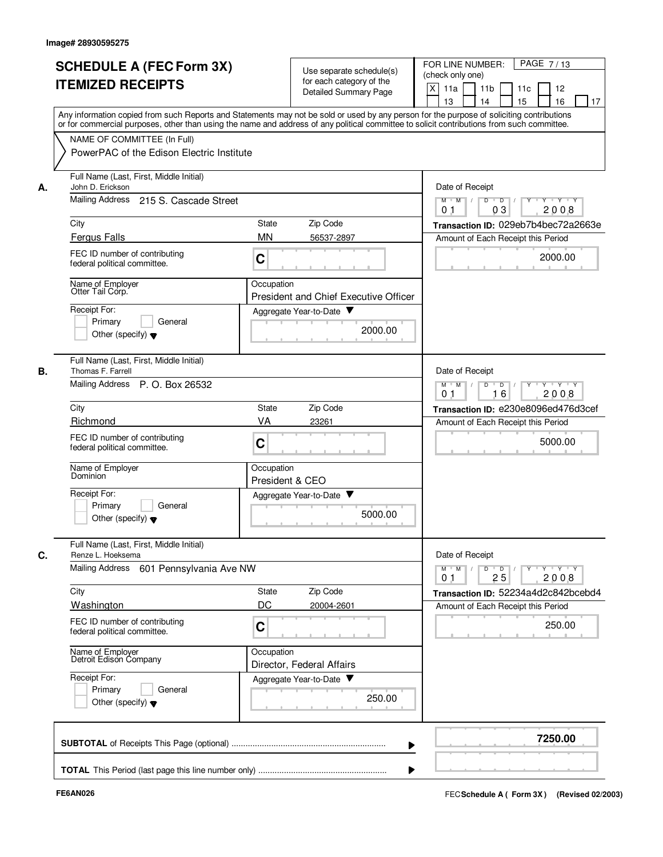|                                                                                                                                                                                                                                                       | <b>SCHEDULE A (FEC Form 3X)</b><br><b>ITEMIZED RECEIPTS</b><br>Any information copied from such Reports and Statements may not be sold or used by any person for the purpose of soliciting contributions                                                                                                                   |                                              | Use separate schedule(s)<br>for each category of the<br>Detailed Summary Page           | PAGE 7/13<br>FOR LINE NUMBER:<br>(check only one)<br>$\times$<br>11a<br>11 <sub>b</sub><br>11c<br>12<br>16<br>13<br>14<br>15<br>17                                                                                            |
|-------------------------------------------------------------------------------------------------------------------------------------------------------------------------------------------------------------------------------------------------------|----------------------------------------------------------------------------------------------------------------------------------------------------------------------------------------------------------------------------------------------------------------------------------------------------------------------------|----------------------------------------------|-----------------------------------------------------------------------------------------|-------------------------------------------------------------------------------------------------------------------------------------------------------------------------------------------------------------------------------|
|                                                                                                                                                                                                                                                       | or for commercial purposes, other than using the name and address of any political committee to solicit contributions from such committee.<br>NAME OF COMMITTEE (In Full)<br>PowerPAC of the Edison Electric Institute                                                                                                     |                                              |                                                                                         |                                                                                                                                                                                                                               |
| Full Name (Last, First, Middle Initial)<br>John D. Erickson<br>А.<br>Mailing Address<br>215 S. Cascade Street<br>City<br><b>Fergus Falls</b><br>FEC ID number of contributing<br>federal political committee.<br>Name of Employer<br>Otter Tail Corp. |                                                                                                                                                                                                                                                                                                                            | <b>State</b><br><b>MN</b><br>C<br>Occupation | Zip Code<br>56537-2897<br><b>President and Chief Executive Officer</b>                  | Date of Receipt<br>$M$ $M$ /<br>$Y \vdash Y \vdash Y$<br>D<br>$\overline{D}$<br>03<br>2008<br>0 <sub>1</sub><br>Transaction ID: 029eb7b4bec72a2663e<br>Amount of Each Receipt this Period<br>2000.00                          |
|                                                                                                                                                                                                                                                       | Receipt For:<br>Primary<br>General<br>Other (specify) $\blacktriangledown$                                                                                                                                                                                                                                                 |                                              | Aggregate Year-to-Date ▼<br>2000.00                                                     |                                                                                                                                                                                                                               |
| В.                                                                                                                                                                                                                                                    | Full Name (Last, First, Middle Initial)<br>Thomas F. Farrell<br>Mailing Address P. O. Box 26532<br>City<br>Richmond<br>FEC ID number of contributing<br>federal political committee.<br>Name of Employer<br>Dominion<br>Receipt For:<br>Primary<br>General<br>Other (specify) $\blacktriangledown$                         | State<br>VA<br>C<br>Occupation               | Zip Code<br>23261<br>President & CEO<br>Aggregate Year-to-Date<br>5000.00               | Date of Receipt<br>D<br>$\blacksquare$ D $\blacksquare$ /<br>$Y \vdash Y \vdash Y$<br>$M$ M<br>$\top$<br>0 <sub>1</sub><br>16<br>2008<br>Transaction ID: e230e8096ed476d3cef<br>Amount of Each Receipt this Period<br>5000.00 |
| C.                                                                                                                                                                                                                                                    | Full Name (Last, First, Middle Initial)<br>Renze L. Hoeksema<br>Mailing Address 601 Pennsylvania Ave NW<br>City<br>Washington<br>FEC ID number of contributing<br>federal political committee.<br>Name of Employer<br>Detroit Edison Company<br>Receipt For:<br>Primary<br>General<br>Other (specify) $\blacktriangledown$ | State<br>DC<br>C<br>Occupation               | Zip Code<br>20004-2601<br>Director, Federal Affairs<br>Aggregate Year-to-Date<br>250.00 | Date of Receipt<br>$Y - Y - Y - Y$<br>$D$ $D$<br>$Y$ <sup>U</sup><br>$M$ $M$ /<br>25<br>2008<br>01<br>Transaction ID: 52234a4d2c842bcebd4<br>Amount of Each Receipt this Period<br>250.00                                     |
|                                                                                                                                                                                                                                                       |                                                                                                                                                                                                                                                                                                                            |                                              |                                                                                         | 7250.00                                                                                                                                                                                                                       |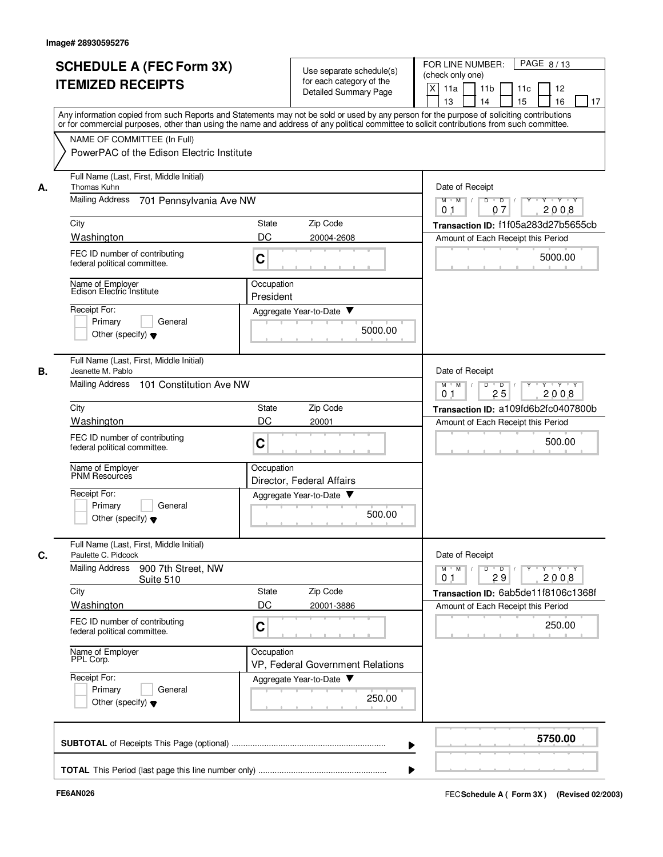|    | <b>SCHEDULE A (FEC Form 3X)</b><br><b>ITEMIZED RECEIPTS</b>                                                                                                                                                                                                                                                                                                         | Use separate schedule(s)<br>for each category of the<br><b>Detailed Summary Page</b>      | PAGE 8/13<br>FOR LINE NUMBER:<br>(check only one)<br>X<br>11a<br>11 <sub>b</sub><br>12<br>11c<br>13<br>14<br>15<br>16<br>17 |
|----|---------------------------------------------------------------------------------------------------------------------------------------------------------------------------------------------------------------------------------------------------------------------------------------------------------------------------------------------------------------------|-------------------------------------------------------------------------------------------|-----------------------------------------------------------------------------------------------------------------------------|
|    | Any information copied from such Reports and Statements may not be sold or used by any person for the purpose of soliciting contributions<br>or for commercial purposes, other than using the name and address of any political committee to solicit contributions from such committee.<br>NAME OF COMMITTEE (In Full)<br>PowerPAC of the Edison Electric Institute |                                                                                           |                                                                                                                             |
| А. | Full Name (Last, First, Middle Initial)<br>Thomas Kuhn<br><b>Mailing Address</b><br>701 Pennsylvania Ave NW                                                                                                                                                                                                                                                         | Date of Receipt<br>$M$ $M$ /<br>D<br>$Y \vdash Y \vdash Y$<br>$\overline{\phantom{0}}$ D  |                                                                                                                             |
|    | City                                                                                                                                                                                                                                                                                                                                                                | 2008<br>0 <sub>1</sub><br>07<br>Transaction ID: f1f05a283d27b5655cb                       |                                                                                                                             |
|    | Washington                                                                                                                                                                                                                                                                                                                                                          | Zip Code<br>State<br>DC<br>20004-2608                                                     | Amount of Each Receipt this Period                                                                                          |
|    | FEC ID number of contributing<br>federal political committee.                                                                                                                                                                                                                                                                                                       | C                                                                                         | 5000.00                                                                                                                     |
|    | Name of Employer<br>Edison Electric Institute                                                                                                                                                                                                                                                                                                                       | Occupation<br>President                                                                   |                                                                                                                             |
|    | Receipt For:                                                                                                                                                                                                                                                                                                                                                        | Aggregate Year-to-Date ▼                                                                  |                                                                                                                             |
|    | Primary<br>General<br>Other (specify) $\blacktriangledown$                                                                                                                                                                                                                                                                                                          | 5000.00                                                                                   |                                                                                                                             |
| В. | Full Name (Last, First, Middle Initial)<br>Jeanette M. Pablo                                                                                                                                                                                                                                                                                                        |                                                                                           | Date of Receipt                                                                                                             |
|    | <b>Mailing Address</b><br>101 Constitution Ave NW                                                                                                                                                                                                                                                                                                                   | D<br>$\overline{D}$<br>$Y - Y - Y$<br>$M$ M<br>$\sqrt{ }$<br>25<br>2008<br>0 <sub>1</sub> |                                                                                                                             |
|    | City                                                                                                                                                                                                                                                                                                                                                                | Zip Code<br>State                                                                         | Transaction ID: a109fd6b2fc0407800b                                                                                         |
|    | Washington                                                                                                                                                                                                                                                                                                                                                          | DC<br>20001                                                                               | Amount of Each Receipt this Period                                                                                          |
|    | FEC ID number of contributing<br>federal political committee.                                                                                                                                                                                                                                                                                                       | C                                                                                         | 500.00                                                                                                                      |
|    | Name of Employer<br>PNM Resources                                                                                                                                                                                                                                                                                                                                   | Occupation<br>Director, Federal Affairs                                                   |                                                                                                                             |
|    | Receipt For:<br>Primary<br>General<br>Other (specify) $\blacktriangledown$                                                                                                                                                                                                                                                                                          | Aggregate Year-to-Date<br>500.00                                                          |                                                                                                                             |
| С. | Full Name (Last, First, Middle Initial)<br>Paulette C. Pidcock<br>Mailing Address<br>900 7th Street, NW                                                                                                                                                                                                                                                             |                                                                                           | Date of Receipt<br>$\mathsf{Y} \dashv \mathsf{Y} \dashv \mathsf{Y}$<br>$M$ <sup>-1</sup><br>M<br>D<br>$\overline{D}$        |
|    | Suite 510                                                                                                                                                                                                                                                                                                                                                           |                                                                                           | 2008<br>29<br>01                                                                                                            |
|    | City<br>Washington                                                                                                                                                                                                                                                                                                                                                  | Zip Code<br>State<br>DC<br>20001-3886                                                     | Transaction ID: 6ab5de11f8106c1368f                                                                                         |
|    | FEC ID number of contributing<br>federal political committee.                                                                                                                                                                                                                                                                                                       | C                                                                                         | Amount of Each Receipt this Period<br>250.00                                                                                |
|    | Name of Employer<br>PPL Corp.                                                                                                                                                                                                                                                                                                                                       | Occupation<br>VP, Federal Government Relations                                            |                                                                                                                             |
|    | Receipt For:<br>Primary<br>General<br>Other (specify) $\blacktriangledown$                                                                                                                                                                                                                                                                                          | Aggregate Year-to-Date<br>250.00                                                          |                                                                                                                             |
|    |                                                                                                                                                                                                                                                                                                                                                                     |                                                                                           | 5750.00                                                                                                                     |
|    |                                                                                                                                                                                                                                                                                                                                                                     |                                                                                           |                                                                                                                             |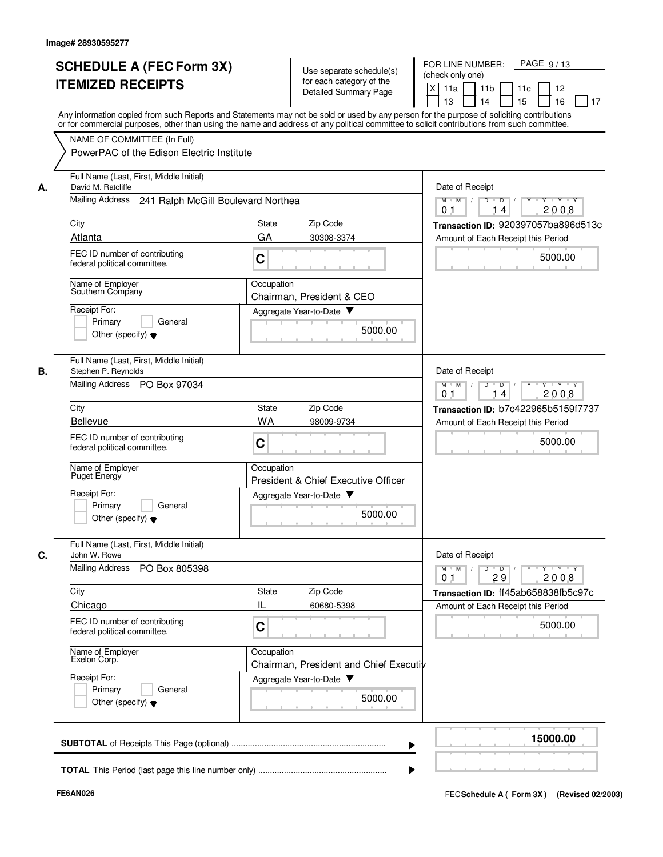|    | <b>SCHEDULE A (FEC Form 3X)</b><br><b>ITEMIZED RECEIPTS</b><br>Any information copied from such Reports and Statements may not be sold or used by any person for the purpose of soliciting contributions |                                                                        | Use separate schedule(s)               | PAGE 9/13<br>FOR LINE NUMBER:                        |
|----|----------------------------------------------------------------------------------------------------------------------------------------------------------------------------------------------------------|------------------------------------------------------------------------|----------------------------------------|------------------------------------------------------|
|    |                                                                                                                                                                                                          |                                                                        | for each category of the               | (check only one)                                     |
|    |                                                                                                                                                                                                          |                                                                        | Detailed Summary Page                  | X<br>11a<br>11 <sub>b</sub><br>11 <sub>c</sub><br>12 |
|    |                                                                                                                                                                                                          |                                                                        |                                        | 13<br>14<br>15<br>16<br>17                           |
|    | or for commercial purposes, other than using the name and address of any political committee to solicit contributions from such committee.                                                               |                                                                        |                                        |                                                      |
|    | NAME OF COMMITTEE (In Full)                                                                                                                                                                              |                                                                        |                                        |                                                      |
|    | PowerPAC of the Edison Electric Institute                                                                                                                                                                |                                                                        |                                        |                                                      |
|    |                                                                                                                                                                                                          |                                                                        |                                        |                                                      |
|    | Full Name (Last, First, Middle Initial)                                                                                                                                                                  |                                                                        |                                        |                                                      |
| А. | David M. Ratcliffe                                                                                                                                                                                       |                                                                        |                                        | Date of Receipt                                      |
|    | Mailing Address 241 Ralph McGill Boulevard Northea                                                                                                                                                       | $M$ $M$ /<br>D<br>$D$ /<br>$Y - Y - Y$<br>2008<br>0 <sub>1</sub><br>14 |                                        |                                                      |
|    |                                                                                                                                                                                                          | State                                                                  | Zip Code                               |                                                      |
|    | City<br>Atlanta                                                                                                                                                                                          |                                                                        |                                        | Transaction ID: 920397057ba896d513c                  |
|    |                                                                                                                                                                                                          | GA                                                                     | 30308-3374                             | Amount of Each Receipt this Period                   |
|    | FEC ID number of contributing<br>federal political committee.                                                                                                                                            | C                                                                      |                                        | 5000.00                                              |
|    |                                                                                                                                                                                                          |                                                                        |                                        | $\mathbb{R}$                                         |
|    | Name of Employer<br>Southern Company                                                                                                                                                                     | Occupation                                                             |                                        |                                                      |
|    |                                                                                                                                                                                                          |                                                                        | Chairman, President & CEO              |                                                      |
|    | Receipt For:                                                                                                                                                                                             |                                                                        | Aggregate Year-to-Date                 |                                                      |
|    | Primary<br>General                                                                                                                                                                                       |                                                                        | 5000.00                                |                                                      |
|    | Other (specify) $\blacktriangledown$                                                                                                                                                                     |                                                                        |                                        |                                                      |
|    |                                                                                                                                                                                                          |                                                                        |                                        |                                                      |
| В. | Full Name (Last, First, Middle Initial)<br>Stephen P. Reynolds                                                                                                                                           |                                                                        |                                        | Date of Receipt                                      |
|    | Mailing Address PO Box 97034                                                                                                                                                                             |                                                                        |                                        | $Y - Y - Y$<br>$M$ M<br>D<br>$\overline{D}$          |
|    |                                                                                                                                                                                                          |                                                                        |                                        | 0 <sub>1</sub><br>14<br>2008                         |
|    | City                                                                                                                                                                                                     | State                                                                  | Zip Code                               | Transaction ID: b7c422965b5159f7737                  |
|    | <b>Bellevue</b>                                                                                                                                                                                          | WA                                                                     | 98009-9734                             | Amount of Each Receipt this Period                   |
|    | FEC ID number of contributing                                                                                                                                                                            | C                                                                      |                                        | 5000.00                                              |
|    | federal political committee.                                                                                                                                                                             |                                                                        |                                        |                                                      |
|    | Name of Employer                                                                                                                                                                                         | Occupation                                                             |                                        |                                                      |
|    | Puget Energy                                                                                                                                                                                             |                                                                        | President & Chief Executive Officer    |                                                      |
|    | Receipt For:                                                                                                                                                                                             |                                                                        | Aggregate Year-to-Date                 |                                                      |
|    | Primary<br>General                                                                                                                                                                                       |                                                                        |                                        |                                                      |
|    | Other (specify) $\blacktriangledown$                                                                                                                                                                     |                                                                        | 5000.00                                |                                                      |
|    |                                                                                                                                                                                                          |                                                                        |                                        |                                                      |
|    | Full Name (Last, First, Middle Initial)<br>John W. Rowe                                                                                                                                                  |                                                                        |                                        | Date of Receipt                                      |
| C. | Mailing Address                                                                                                                                                                                          |                                                                        |                                        | Y TY TY TY<br>$M$ $M$ /<br>D                         |
|    | PO Box 805398                                                                                                                                                                                            |                                                                        |                                        | $\overline{D}$<br>2008<br>0 <sub>1</sub><br>29       |
|    | City                                                                                                                                                                                                     | <b>State</b>                                                           | Zip Code                               | Transaction ID: ff45ab658838fb5c97c                  |
|    | Chicago                                                                                                                                                                                                  | IL                                                                     | 60680-5398                             | Amount of Each Receipt this Period                   |
|    | FEC ID number of contributing                                                                                                                                                                            |                                                                        |                                        |                                                      |
|    | federal political committee.                                                                                                                                                                             | C                                                                      |                                        | 5000.00                                              |
|    |                                                                                                                                                                                                          |                                                                        |                                        |                                                      |
|    | Name of Employer<br>Exelon Corp.                                                                                                                                                                         | Occupation                                                             | Chairman, President and Chief Executiv |                                                      |
|    | Receipt For:                                                                                                                                                                                             |                                                                        | Aggregate Year-to-Date                 |                                                      |
|    | Primary<br>General                                                                                                                                                                                       |                                                                        |                                        |                                                      |
|    | Other (specify) $\blacktriangledown$                                                                                                                                                                     |                                                                        | 5000.00                                |                                                      |
|    |                                                                                                                                                                                                          |                                                                        |                                        |                                                      |
|    |                                                                                                                                                                                                          |                                                                        |                                        |                                                      |
|    |                                                                                                                                                                                                          |                                                                        |                                        | 15000.00                                             |
|    |                                                                                                                                                                                                          |                                                                        |                                        |                                                      |
|    |                                                                                                                                                                                                          |                                                                        |                                        |                                                      |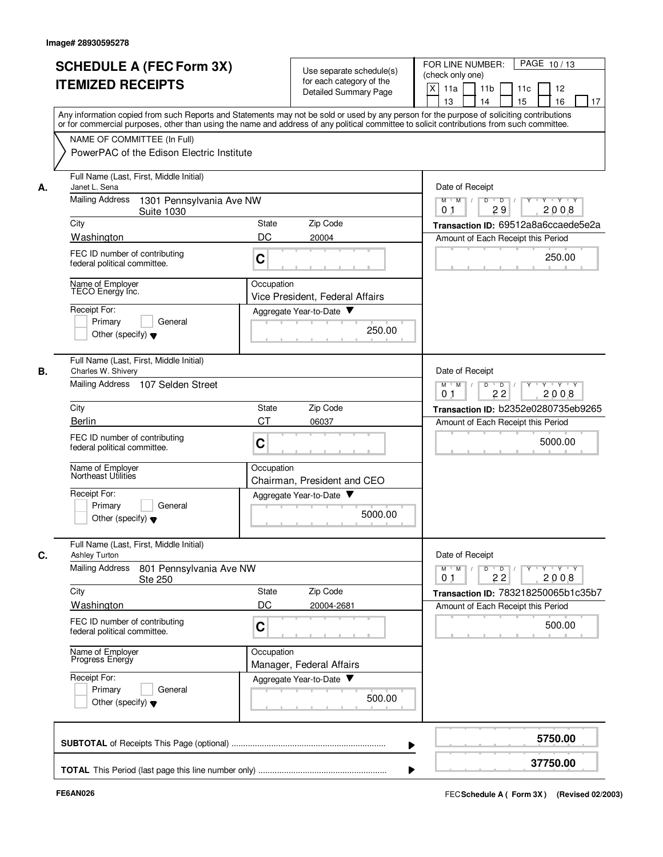|    | <b>SCHEDULE A (FEC Form 3X)</b><br><b>ITEMIZED RECEIPTS</b>                                                                                                                                                                                                                                                            |                                                                             | Use separate schedule(s)<br>for each category of the<br>Detailed Summary Page | PAGE 10/13<br>FOR LINE NUMBER:<br>(check only one)<br>X<br>11a<br>11 <sub>b</sub><br>11c<br>12<br>15<br>16<br>13<br>14<br>17 |
|----|------------------------------------------------------------------------------------------------------------------------------------------------------------------------------------------------------------------------------------------------------------------------------------------------------------------------|-----------------------------------------------------------------------------|-------------------------------------------------------------------------------|------------------------------------------------------------------------------------------------------------------------------|
|    | Any information copied from such Reports and Statements may not be sold or used by any person for the purpose of soliciting contributions<br>or for commercial purposes, other than using the name and address of any political committee to solicit contributions from such committee.<br>NAME OF COMMITTEE (In Full) |                                                                             |                                                                               |                                                                                                                              |
|    | PowerPAC of the Edison Electric Institute                                                                                                                                                                                                                                                                              |                                                                             |                                                                               |                                                                                                                              |
| А. | Full Name (Last, First, Middle Initial)<br>Janet L. Sena                                                                                                                                                                                                                                                               | Date of Receipt                                                             |                                                                               |                                                                                                                              |
|    | <b>Mailing Address</b><br>1301 Pennsylvania Ave NW<br><b>Suite 1030</b>                                                                                                                                                                                                                                                | Y Y Y Y<br>$M$ $M$ /<br>D<br>$\overline{D}$<br>29<br>2008<br>0 <sub>1</sub> |                                                                               |                                                                                                                              |
|    | City                                                                                                                                                                                                                                                                                                                   | State                                                                       | Zip Code                                                                      | Transaction ID: 69512a8a6ccaede5e2a                                                                                          |
|    | Washington                                                                                                                                                                                                                                                                                                             | DC                                                                          | 20004                                                                         | Amount of Each Receipt this Period                                                                                           |
|    | FEC ID number of contributing<br>federal political committee.                                                                                                                                                                                                                                                          | C                                                                           |                                                                               | 250.00                                                                                                                       |
|    | Name of Employer<br>TECO Energy Inc.                                                                                                                                                                                                                                                                                   | Occupation                                                                  | Vice President, Federal Affairs                                               |                                                                                                                              |
|    | Receipt For:                                                                                                                                                                                                                                                                                                           |                                                                             | Aggregate Year-to-Date ▼                                                      |                                                                                                                              |
|    | General<br>Primary<br>Other (specify) $\blacktriangledown$                                                                                                                                                                                                                                                             |                                                                             | 250.00                                                                        |                                                                                                                              |
| В. | Full Name (Last, First, Middle Initial)<br>Charles W. Shivery                                                                                                                                                                                                                                                          |                                                                             |                                                                               | Date of Receipt                                                                                                              |
|    | <b>Mailing Address</b><br>107 Selden Street                                                                                                                                                                                                                                                                            |                                                                             |                                                                               | $M$ M<br>D<br>$\overline{D}$<br>$\sqrt{ }$<br>Y Y Y Y<br>2008<br>0 <sub>1</sub><br>22                                        |
|    | City                                                                                                                                                                                                                                                                                                                   | State                                                                       | Zip Code                                                                      | Transaction ID: b2352e0280735eb9265                                                                                          |
|    | Berlin                                                                                                                                                                                                                                                                                                                 | CТ                                                                          | 06037                                                                         | Amount of Each Receipt this Period                                                                                           |
|    | FEC ID number of contributing<br>federal political committee.                                                                                                                                                                                                                                                          | C                                                                           |                                                                               | 5000.00                                                                                                                      |
|    | Name of Employer<br>Northeast Utilities                                                                                                                                                                                                                                                                                | Occupation                                                                  | Chairman, President and CEO                                                   |                                                                                                                              |
|    | Receipt For:                                                                                                                                                                                                                                                                                                           |                                                                             | Aggregate Year-to-Date                                                        |                                                                                                                              |
|    | Primary<br>General<br>Other (specify) $\blacktriangledown$                                                                                                                                                                                                                                                             |                                                                             | 5000.00                                                                       |                                                                                                                              |
| С. | Full Name (Last, First, Middle Initial)<br><b>Ashley Turton</b>                                                                                                                                                                                                                                                        |                                                                             |                                                                               | Date of Receipt                                                                                                              |
|    | <b>Mailing Address</b><br>801 Pennsylvania Ave NW<br>Ste 250                                                                                                                                                                                                                                                           |                                                                             |                                                                               | $M$ $M$<br>$D$ $D$ $I$<br>22<br>2008<br>0 <sub>1</sub>                                                                       |
|    | City                                                                                                                                                                                                                                                                                                                   | State<br>DC                                                                 | Zip Code                                                                      | Transaction ID: 783218250065b1c35b7                                                                                          |
|    | Washington                                                                                                                                                                                                                                                                                                             |                                                                             | 20004-2681                                                                    | Amount of Each Receipt this Period                                                                                           |
|    | FEC ID number of contributing<br>C<br>federal political committee.                                                                                                                                                                                                                                                     |                                                                             |                                                                               | 500.00                                                                                                                       |
|    | Name of Employer<br>Progress Energy                                                                                                                                                                                                                                                                                    | Occupation                                                                  | Manager, Federal Affairs                                                      |                                                                                                                              |
|    | Receipt For:<br>Primary<br>General                                                                                                                                                                                                                                                                                     |                                                                             | Aggregate Year-to-Date                                                        |                                                                                                                              |
|    | Other (specify) $\blacktriangledown$                                                                                                                                                                                                                                                                                   |                                                                             | 500.00                                                                        |                                                                                                                              |
|    |                                                                                                                                                                                                                                                                                                                        |                                                                             |                                                                               | 5750.00                                                                                                                      |
|    |                                                                                                                                                                                                                                                                                                                        |                                                                             |                                                                               | 37750.00                                                                                                                     |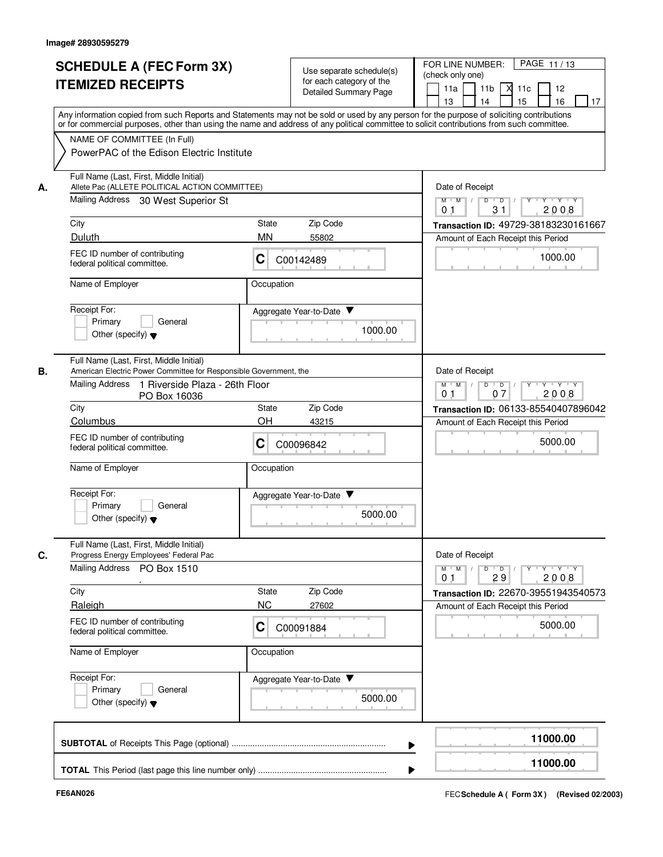|    | <b>SCHEDULE A (FEC Form 3X)</b><br><b>ITEMIZED RECEIPTS</b><br>Any information copied from such Reports and Statements may not be sold or used by any person for the purpose of soliciting contributions |                 | Use separate schedule(s)<br>for each category of the<br><b>Detailed Summary Page</b> | PAGE 11/13<br>FOR LINE NUMBER:<br>(check only one)<br>11a<br>11 <sub>b</sub><br>$X$ 11 $c$<br>12<br>15<br>16<br>13<br>14<br>17 |
|----|----------------------------------------------------------------------------------------------------------------------------------------------------------------------------------------------------------|-----------------|--------------------------------------------------------------------------------------|--------------------------------------------------------------------------------------------------------------------------------|
|    | or for commercial purposes, other than using the name and address of any political committee to solicit contributions from such committee.                                                               |                 |                                                                                      |                                                                                                                                |
|    | NAME OF COMMITTEE (In Full)<br>PowerPAC of the Edison Electric Institute                                                                                                                                 |                 |                                                                                      |                                                                                                                                |
| А. | Full Name (Last, First, Middle Initial)<br>Allete Pac (ALLETE POLITICAL ACTION COMMITTEE)                                                                                                                | Date of Receipt |                                                                                      |                                                                                                                                |
|    | Mailing Address 30 West Superior St                                                                                                                                                                      |                 |                                                                                      | $M$ $M$ /<br>Y Y Y Y<br>D<br>$\overline{D}$<br>31<br>2008<br>0.1                                                               |
|    | City                                                                                                                                                                                                     | <b>State</b>    | Zip Code                                                                             | Transaction ID: 49729-38183230161667                                                                                           |
|    | Duluth                                                                                                                                                                                                   | <b>MN</b>       | 55802                                                                                | Amount of Each Receipt this Period                                                                                             |
|    | FEC ID number of contributing<br>federal political committee.                                                                                                                                            | С               | C00142489                                                                            | 1000.00                                                                                                                        |
|    | Name of Employer                                                                                                                                                                                         | Occupation      |                                                                                      |                                                                                                                                |
|    | Receipt For:<br>Primary<br>General<br>Other (specify) $\blacktriangledown$                                                                                                                               |                 | Aggregate Year-to-Date<br>1000.00                                                    |                                                                                                                                |
| В. | Full Name (Last, First, Middle Initial)<br>American Electric Power Committee for Responsible Government, the                                                                                             |                 |                                                                                      | Date of Receipt                                                                                                                |
|    | Mailing Address<br>1 Riverside Plaza - 26th Floor<br>PO Box 16036                                                                                                                                        |                 |                                                                                      | $M$ $M$ /<br>$\mathsf{D}$<br>$Y \vdash Y \vdash Y$<br>$\overline{D}$<br>2008<br>0 <sub>1</sub><br>07                           |
|    | City                                                                                                                                                                                                     | State           | Zip Code                                                                             | Transaction ID: 06133-85540407896042                                                                                           |
|    | Columbus<br>FEC ID number of contributing<br>federal political committee.                                                                                                                                | OH<br>C         | 43215<br>C00096842                                                                   | Amount of Each Receipt this Period<br>5000.00                                                                                  |
|    | Name of Employer                                                                                                                                                                                         | Occupation      |                                                                                      |                                                                                                                                |
|    | Receipt For:<br>Primary<br>General<br>Other (specify) $\blacktriangledown$                                                                                                                               |                 | Aggregate Year-to-Date ▼<br>5000.00                                                  |                                                                                                                                |
| C. | Full Name (Last, First, Middle Initial)<br>Progress Energy Employees' Federal Pac                                                                                                                        |                 |                                                                                      | Date of Receipt                                                                                                                |
|    | Mailing Address PO Box 1510                                                                                                                                                                              |                 |                                                                                      | $Y - Y - Y - Y$<br>$M$ $M$ /<br>$D$ $D$<br>$Y$ <sup>U</sup><br>29<br>2008<br>0 <sub>1</sub>                                    |
|    | City                                                                                                                                                                                                     | State           | Zip Code                                                                             | Transaction ID: 22670-39551943540573                                                                                           |
|    | Raleigh<br>FEC ID number of contributing<br>federal political committee.                                                                                                                                 | <b>NC</b><br>С  | 27602<br>C00091884                                                                   | Amount of Each Receipt this Period<br>5000.00                                                                                  |
|    | Name of Employer                                                                                                                                                                                         | Occupation      |                                                                                      |                                                                                                                                |
|    | Receipt For:<br>Primary<br>General<br>Other (specify) $\blacktriangledown$                                                                                                                               |                 | Aggregate Year-to-Date<br>5000.00                                                    |                                                                                                                                |
|    |                                                                                                                                                                                                          |                 |                                                                                      | 11000.00                                                                                                                       |
|    |                                                                                                                                                                                                          |                 |                                                                                      | 11000.00                                                                                                                       |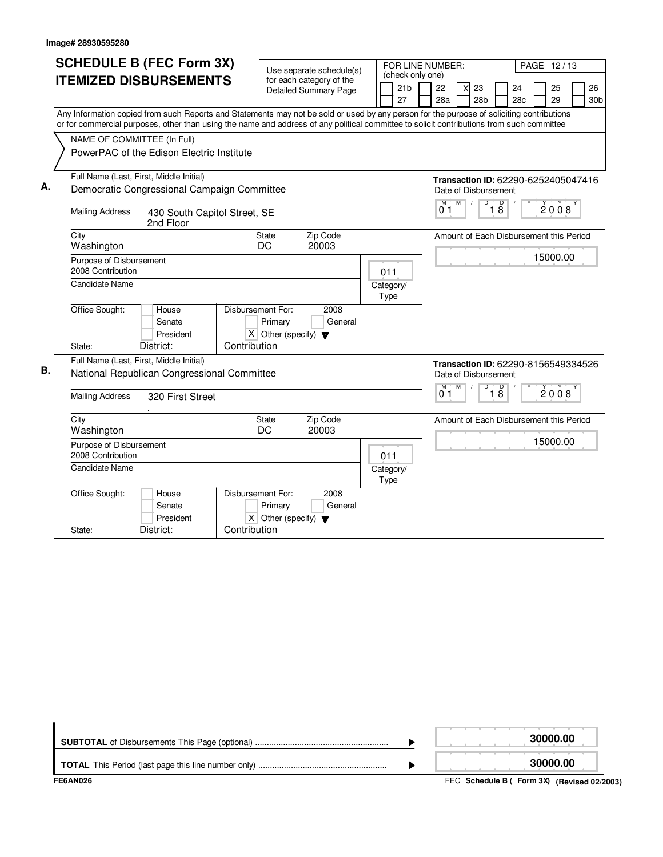|    | <b>SCHEDULE B (FEC Form 3X)</b>                                                                                                                                                                                                                                                        | Use separate schedule(s)         |                                                     |                                                          |  |      |                                                                                     | FOR LINE NUMBER: |                                                                                                            |   |                       |  | PAGE 12/13                              |  |          |  |                       |
|----|----------------------------------------------------------------------------------------------------------------------------------------------------------------------------------------------------------------------------------------------------------------------------------------|----------------------------------|-----------------------------------------------------|----------------------------------------------------------|--|------|-------------------------------------------------------------------------------------|------------------|------------------------------------------------------------------------------------------------------------|---|-----------------------|--|-----------------------------------------|--|----------|--|-----------------------|
|    | <b>ITEMIZED DISBURSEMENTS</b>                                                                                                                                                                                                                                                          |                                  |                                                     | for each category of the<br><b>Detailed Summary Page</b> |  |      | 21 <sub>b</sub><br>27                                                               | (check only one) | 22<br>28a                                                                                                  | X | 23<br>28 <sub>b</sub> |  | 24<br>28 <sub>c</sub>                   |  | 25<br>29 |  | 26<br>30 <sub>b</sub> |
|    | Any Information copied from such Reports and Statements may not be sold or used by any person for the purpose of soliciting contributions<br>or for commercial purposes, other than using the name and address of any political committee to solicit contributions from such committee |                                  |                                                     |                                                          |  |      |                                                                                     |                  |                                                                                                            |   |                       |  |                                         |  |          |  |                       |
|    | NAME OF COMMITTEE (In Full)<br>PowerPAC of the Edison Electric Institute                                                                                                                                                                                                               |                                  |                                                     |                                                          |  |      |                                                                                     |                  |                                                                                                            |   |                       |  |                                         |  |          |  |                       |
|    | Full Name (Last, First, Middle Initial)                                                                                                                                                                                                                                                |                                  |                                                     |                                                          |  |      |                                                                                     |                  | Transaction ID: 62290-6252405047416                                                                        |   |                       |  |                                         |  |          |  |                       |
| А. | Democratic Congressional Campaign Committee                                                                                                                                                                                                                                            |                                  |                                                     |                                                          |  |      |                                                                                     |                  | Date of Disbursement                                                                                       |   |                       |  |                                         |  |          |  |                       |
|    | <b>Mailing Address</b><br>430 South Capitol Street, SE<br>2nd Floor                                                                                                                                                                                                                    |                                  |                                                     |                                                          |  |      | M<br>$\sqrt{ }$<br>$\overline{D}$<br>$\overline{18}$<br>M<br>2008<br>0 <sub>1</sub> |                  |                                                                                                            |   |                       |  |                                         |  |          |  |                       |
|    | City<br>Washington                                                                                                                                                                                                                                                                     | State<br>Zip Code<br>DC<br>20003 |                                                     |                                                          |  |      |                                                                                     |                  | Amount of Each Disbursement this Period                                                                    |   |                       |  |                                         |  |          |  |                       |
|    | Purpose of Disbursement<br>2008 Contribution                                                                                                                                                                                                                                           |                                  |                                                     | 011                                                      |  |      |                                                                                     |                  |                                                                                                            |   |                       |  | 15000.00                                |  |          |  |                       |
|    | <b>Candidate Name</b>                                                                                                                                                                                                                                                                  |                                  |                                                     |                                                          |  | Type | Category/                                                                           |                  |                                                                                                            |   |                       |  |                                         |  |          |  |                       |
|    | Office Sought:<br>House<br>Senate<br>President                                                                                                                                                                                                                                         | Disbursement For:                | Primary<br>$X$ Other (specify) $\blacktriangledown$ | 2008<br>General                                          |  |      |                                                                                     |                  |                                                                                                            |   |                       |  |                                         |  |          |  |                       |
|    | District:<br>State:                                                                                                                                                                                                                                                                    | Contribution                     |                                                     |                                                          |  |      |                                                                                     |                  |                                                                                                            |   |                       |  |                                         |  |          |  |                       |
| В. | Full Name (Last, First, Middle Initial)<br>National Republican Congressional Committee                                                                                                                                                                                                 |                                  |                                                     |                                                          |  |      |                                                                                     |                  | Transaction ID: 62290-8156549334526<br>Date of Disbursement<br>$\overline{D}$<br>M<br>M<br>$\overline{18}$ |   |                       |  |                                         |  |          |  |                       |
|    | <b>Mailing Address</b><br>320 First Street                                                                                                                                                                                                                                             |                                  |                                                     |                                                          |  |      |                                                                                     |                  | 01                                                                                                         |   |                       |  |                                         |  | 2008     |  |                       |
|    | City<br>Washington                                                                                                                                                                                                                                                                     |                                  | State<br>DC                                         | Zip Code<br>20003                                        |  |      |                                                                                     |                  |                                                                                                            |   |                       |  | Amount of Each Disbursement this Period |  |          |  |                       |
|    | Purpose of Disbursement<br>2008 Contribution                                                                                                                                                                                                                                           |                                  |                                                     |                                                          |  | 011  |                                                                                     |                  |                                                                                                            |   |                       |  |                                         |  | 15000.00 |  |                       |
|    | Candidate Name                                                                                                                                                                                                                                                                         |                                  |                                                     |                                                          |  | Type | Category/                                                                           |                  |                                                                                                            |   |                       |  |                                         |  |          |  |                       |
|    | Office Sought:<br>House<br>Senate<br>President                                                                                                                                                                                                                                         | Disbursement For:                | Primary<br>$X$ Other (specify) $\blacktriangledown$ | 2008<br>General                                          |  |      |                                                                                     |                  |                                                                                                            |   |                       |  |                                         |  |          |  |                       |
|    | District:<br>State:                                                                                                                                                                                                                                                                    | Contribution                     |                                                     |                                                          |  |      |                                                                                     |                  |                                                                                                            |   |                       |  |                                         |  |          |  |                       |

|                  |                                                                       | 30000.00 |
|------------------|-----------------------------------------------------------------------|----------|
|                  |                                                                       | 30000.00 |
| <b>---------</b> | $FFA$ , $B.H.$ , $H.H.$ $B/I$ , $F.$ , $GM$ , $fB$ , $I.$ , $I.$ $A.$ |          |

FEC **Schedule B ( ) Form 3X FE6AN026 (Revised 02/2003)**